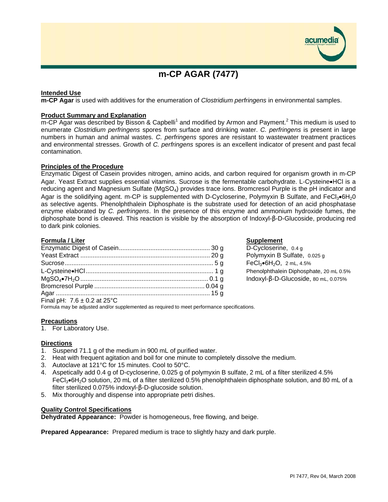

# **Intended Use**

**m-CP Agar** is used with additives for the enumeration of *Clostridium perfringens* in environmental samples.

## **Product Summary and Explanation**

m-CP Agar was described by Bisson & Capbelli<sup>1</sup> and modified by Armon and Payment.<sup>2</sup> This medium is used to enumerate *Clostridium perfringens* spores from surface and drinking water. *C. perfringens* is present in large numbers in human and animal wastes. *C. perfringens* spores are resistant to wastewater treatment practices and environmental stresses. Growth of *C. perfringens* spores is an excellent indicator of present and past fecal contamination.

## **Principles of the Procedure**

Enzymatic Digest of Casein provides nitrogen, amino acids, and carbon required for organism growth in m-CP Agar. Yeast Extract supplies essential vitamins. Sucrose is the fermentable carbohydrate. L-Cysteine•HCl is a reducing agent and Magnesium Sulfate (MgSO<sub>4</sub>) provides trace ions. Bromcresol Purple is the pH indicator and Agar is the solidifying agent. m-CP is supplemented with D-Cycloserine, Polymyxin B Sulfate, and FeCl3•6H<sub>2</sub>0 as selective agents. Phenolphthalein Diphosphate is the substrate used for detection of an acid phosphatase enzyme elaborated by *C. perfringens*. In the presence of this enzyme and ammonium hydroxide fumes, the diphosphate bond is cleaved. This reaction is visible by the absorption of Indoxyl-β-D-Glucoside, producing red to dark pink colonies.

## **Formula / Liter Supplement**

| $Find PL \cdot 76 + 0.2 at 25\degree$ |  |
|---------------------------------------|--|

D-Cycloserine, 0.4 g Polymyxin B Sulfate, 0.025 g  $FeCl<sub>3</sub>•6H<sub>2</sub>O, 2 mL, 4.5%$ Phenolphthalein Diphosphate, 20 mL 0.5% Indoxyl-β-D-Glucoside, 80 mL, 0.075%

Final pH: 7.6 ± 0.2 at 25°C

Formula may be adjusted and/or supplemented as required to meet performance specifications.

## **Precautions**

1. For Laboratory Use.

## **Directions**

- 1. Suspend 71.1 g of the medium in 900 mL of purified water.
- 2. Heat with frequent agitation and boil for one minute to completely dissolve the medium.
- 3. Autoclave at 121°C for 15 minutes. Cool to 50°C.
- 4. Aspetically add 0.4 g of D-cycloserine, 0.025 g of polymyxin B sulfate, 2 mL of a filter sterilized 4.5% FeCl3•6H2O solution, 20 mL of a filter sterilized 0.5% phenolphthalein diphosphate solution, and 80 mL of a filter sterilized 0.075% indoxyl-β-D-glucoside solution.
- 5. Mix thoroughly and dispense into appropriate petri dishes.

#### **Quality Control Specifications**

**Dehydrated Appearance:** Powder is homogeneous, free flowing, and beige.

**Prepared Appearance:** Prepared medium is trace to slightly hazy and dark purple.